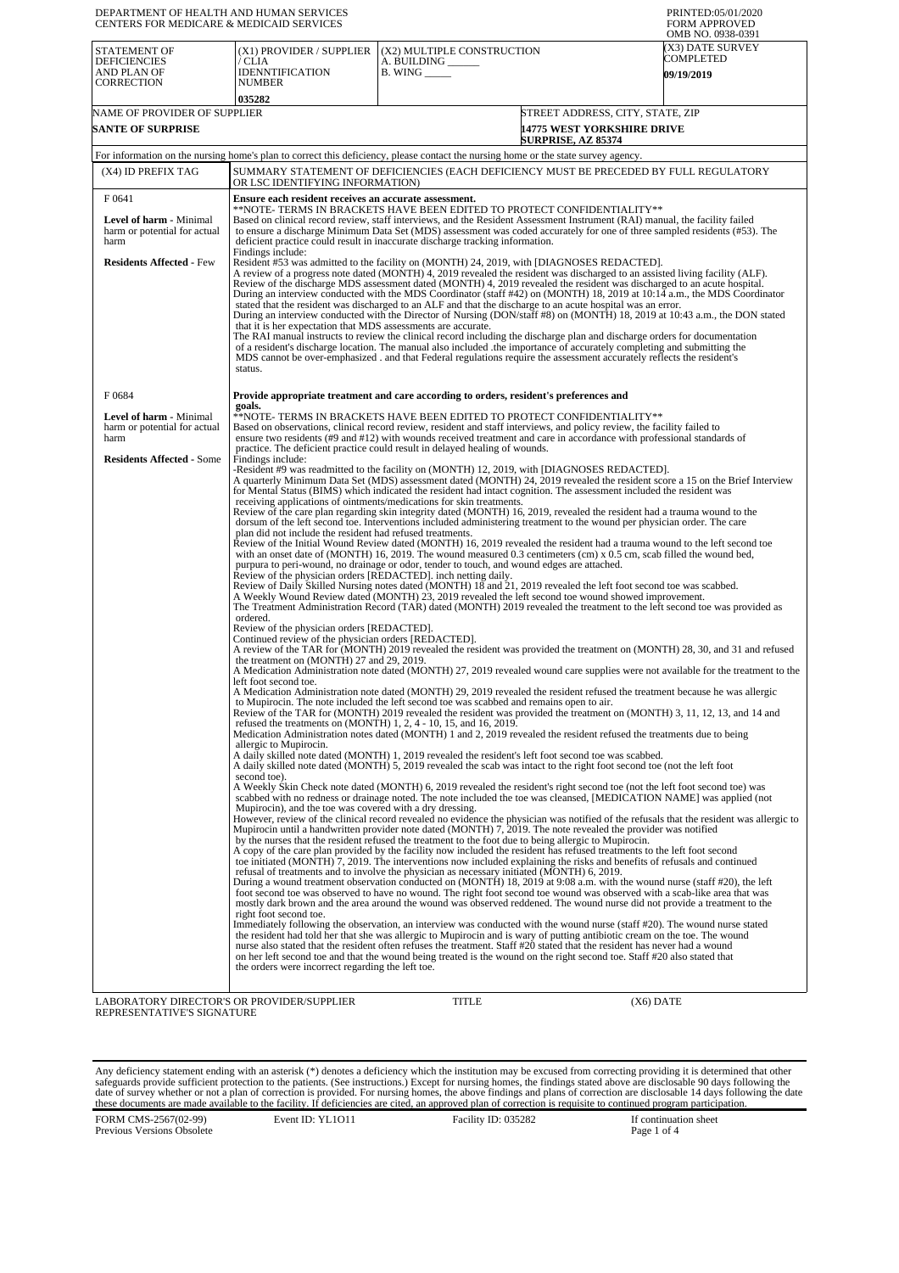| DEPARTMENT OF HEALTH AND HUMAN SERVICES<br>CENTERS FOR MEDICARE & MEDICAID SERVICES |                                                                                                                                                                                                                                                                                                                                                                                                                                                                                                                                                                                                                                                                                                                                                                                                                                                                                                                                                                                                                                                                                                                                                                                                                                                                                                                                                                                                                                                                                                                                                                                                                                                                                                                                                                                                                                                                                                                                                                                                                                                                                                                                                                                                                                                                                                                                                                                                                                                                                                                                                                                                                                                                                                                                                                                                                                                                                                                                                                                                                                                                                                                                                                                                                                                                                                                                                                                                                                                                                                                                                                                                                                                                                                                                                                                                                                                                                                                                                                                                                                                                                                                                                                                                                                                                                                                                                                                                                                                                                                                                      |                                                                                                                                                                                                                                                                                                                                                                                     | PRINTED:05/01/2020<br><b>FORM APPROVED</b><br>OMB NO. 0938-0391 |  |  |
|-------------------------------------------------------------------------------------|--------------------------------------------------------------------------------------------------------------------------------------------------------------------------------------------------------------------------------------------------------------------------------------------------------------------------------------------------------------------------------------------------------------------------------------------------------------------------------------------------------------------------------------------------------------------------------------------------------------------------------------------------------------------------------------------------------------------------------------------------------------------------------------------------------------------------------------------------------------------------------------------------------------------------------------------------------------------------------------------------------------------------------------------------------------------------------------------------------------------------------------------------------------------------------------------------------------------------------------------------------------------------------------------------------------------------------------------------------------------------------------------------------------------------------------------------------------------------------------------------------------------------------------------------------------------------------------------------------------------------------------------------------------------------------------------------------------------------------------------------------------------------------------------------------------------------------------------------------------------------------------------------------------------------------------------------------------------------------------------------------------------------------------------------------------------------------------------------------------------------------------------------------------------------------------------------------------------------------------------------------------------------------------------------------------------------------------------------------------------------------------------------------------------------------------------------------------------------------------------------------------------------------------------------------------------------------------------------------------------------------------------------------------------------------------------------------------------------------------------------------------------------------------------------------------------------------------------------------------------------------------------------------------------------------------------------------------------------------------------------------------------------------------------------------------------------------------------------------------------------------------------------------------------------------------------------------------------------------------------------------------------------------------------------------------------------------------------------------------------------------------------------------------------------------------------------------------------------------------------------------------------------------------------------------------------------------------------------------------------------------------------------------------------------------------------------------------------------------------------------------------------------------------------------------------------------------------------------------------------------------------------------------------------------------------------------------------------------------------------------------------------------------------------------------------------------------------------------------------------------------------------------------------------------------------------------------------------------------------------------------------------------------------------------------------------------------------------------------------------------------------------------------------------------------------------------------------------------------------------------------------------------------------|-------------------------------------------------------------------------------------------------------------------------------------------------------------------------------------------------------------------------------------------------------------------------------------------------------------------------------------------------------------------------------------|-----------------------------------------------------------------|--|--|
| <b>STATEMENT OF</b><br><b>DEFICIENCIES</b><br>AND PLAN OF<br>CORRECTION             | (X1) PROVIDER / SUPPLIER<br>/ CLIA<br><b>IDENNTIFICATION</b><br><b>NUMBER</b><br>035282                                                                                                                                                                                                                                                                                                                                                                                                                                                                                                                                                                                                                                                                                                                                                                                                                                                                                                                                                                                                                                                                                                                                                                                                                                                                                                                                                                                                                                                                                                                                                                                                                                                                                                                                                                                                                                                                                                                                                                                                                                                                                                                                                                                                                                                                                                                                                                                                                                                                                                                                                                                                                                                                                                                                                                                                                                                                                                                                                                                                                                                                                                                                                                                                                                                                                                                                                                                                                                                                                                                                                                                                                                                                                                                                                                                                                                                                                                                                                                                                                                                                                                                                                                                                                                                                                                                                                                                                                                              | (X2) MULTIPLE CONSTRUCTION<br>A. BUILDING<br><b>B. WING</b>                                                                                                                                                                                                                                                                                                                         | X3) DATE SURVEY<br>COMPLETED<br><b>09/19/2019</b>               |  |  |
| NAME OF PROVIDER OF SUPPLIER                                                        |                                                                                                                                                                                                                                                                                                                                                                                                                                                                                                                                                                                                                                                                                                                                                                                                                                                                                                                                                                                                                                                                                                                                                                                                                                                                                                                                                                                                                                                                                                                                                                                                                                                                                                                                                                                                                                                                                                                                                                                                                                                                                                                                                                                                                                                                                                                                                                                                                                                                                                                                                                                                                                                                                                                                                                                                                                                                                                                                                                                                                                                                                                                                                                                                                                                                                                                                                                                                                                                                                                                                                                                                                                                                                                                                                                                                                                                                                                                                                                                                                                                                                                                                                                                                                                                                                                                                                                                                                                                                                                                                      |                                                                                                                                                                                                                                                                                                                                                                                     | STREET ADDRESS. CITY. STATE. ZIP                                |  |  |
| <b>SANTE OF SURPRISE</b>                                                            |                                                                                                                                                                                                                                                                                                                                                                                                                                                                                                                                                                                                                                                                                                                                                                                                                                                                                                                                                                                                                                                                                                                                                                                                                                                                                                                                                                                                                                                                                                                                                                                                                                                                                                                                                                                                                                                                                                                                                                                                                                                                                                                                                                                                                                                                                                                                                                                                                                                                                                                                                                                                                                                                                                                                                                                                                                                                                                                                                                                                                                                                                                                                                                                                                                                                                                                                                                                                                                                                                                                                                                                                                                                                                                                                                                                                                                                                                                                                                                                                                                                                                                                                                                                                                                                                                                                                                                                                                                                                                                                                      | <b>SURPRISE, AZ 85374</b>                                                                                                                                                                                                                                                                                                                                                           | <b>14775 WEST YORKSHIRE DRIVE</b>                               |  |  |
|                                                                                     |                                                                                                                                                                                                                                                                                                                                                                                                                                                                                                                                                                                                                                                                                                                                                                                                                                                                                                                                                                                                                                                                                                                                                                                                                                                                                                                                                                                                                                                                                                                                                                                                                                                                                                                                                                                                                                                                                                                                                                                                                                                                                                                                                                                                                                                                                                                                                                                                                                                                                                                                                                                                                                                                                                                                                                                                                                                                                                                                                                                                                                                                                                                                                                                                                                                                                                                                                                                                                                                                                                                                                                                                                                                                                                                                                                                                                                                                                                                                                                                                                                                                                                                                                                                                                                                                                                                                                                                                                                                                                                                                      | For information on the nursing home's plan to correct this deficiency, please contact the nursing home or the state survey agency.                                                                                                                                                                                                                                                  |                                                                 |  |  |
| (X4) ID PREFIX TAG                                                                  | SUMMARY STATEMENT OF DEFICIENCIES (EACH DEFICIENCY MUST BE PRECEDED BY FULL REGULATORY<br>OR LSC IDENTIFYING INFORMATION)                                                                                                                                                                                                                                                                                                                                                                                                                                                                                                                                                                                                                                                                                                                                                                                                                                                                                                                                                                                                                                                                                                                                                                                                                                                                                                                                                                                                                                                                                                                                                                                                                                                                                                                                                                                                                                                                                                                                                                                                                                                                                                                                                                                                                                                                                                                                                                                                                                                                                                                                                                                                                                                                                                                                                                                                                                                                                                                                                                                                                                                                                                                                                                                                                                                                                                                                                                                                                                                                                                                                                                                                                                                                                                                                                                                                                                                                                                                                                                                                                                                                                                                                                                                                                                                                                                                                                                                                            |                                                                                                                                                                                                                                                                                                                                                                                     |                                                                 |  |  |
| F 0641<br>Level of harm - Minimal<br>harm or potential for actual<br>harm           | Ensure each resident receives an accurate assessment.<br>**NOTE- TERMS IN BRACKETS HAVE BEEN EDITED TO PROTECT CONFIDENTIALITY**<br>Based on clinical record review, staff interviews, and the Resident Assessment Instrument (RAI) manual, the facility failed<br>to ensure a discharge Minimum Data Set (MDS) assessment was coded accurately for one of three sampled residents (#53). The<br>deficient practice could result in inaccurate discharge tracking information.<br>Findings include:                                                                                                                                                                                                                                                                                                                                                                                                                                                                                                                                                                                                                                                                                                                                                                                                                                                                                                                                                                                                                                                                                                                                                                                                                                                                                                                                                                                                                                                                                                                                                                                                                                                                                                                                                                                                                                                                                                                                                                                                                                                                                                                                                                                                                                                                                                                                                                                                                                                                                                                                                                                                                                                                                                                                                                                                                                                                                                                                                                                                                                                                                                                                                                                                                                                                                                                                                                                                                                                                                                                                                                                                                                                                                                                                                                                                                                                                                                                                                                                                                                  |                                                                                                                                                                                                                                                                                                                                                                                     |                                                                 |  |  |
| <b>Residents Affected - Few</b>                                                     | Resident #53 was admitted to the facility on (MONTH) 24, 2019, with [DIAGNOSES REDACTED].<br>A review of a progress note dated (MONTH) 4, 2019 revealed the resident was discharged to an assisted living facility (ALF).<br>Review of the discharge MDS assessment dated (MONTH) 4, 2019 revealed the resident was discharged to an acute hospital.<br>During an interview conducted with the MDS Coordinator (staff #42) on (MONTH) 18, 2019 at 10:14 a.m., the MDS Coordinator<br>stated that the resident was discharged to an ALF and that the discharge to an acute hospital was an error.<br>During an interview conducted with the Director of Nursing (DON/staff #8) on (MONTH) 18, 2019 at 10:43 a.m., the DON stated<br>that it is her expectation that MDS assessments are accurate.<br>The RAI manual instructs to review the clinical record including the discharge plan and discharge orders for documentation<br>of a resident's discharge location. The manual also included the importance of accurately completing and submitting the<br>MDS cannot be over-emphasized . and that Federal regulations require the assessment accurately reflects the resident's<br>status.                                                                                                                                                                                                                                                                                                                                                                                                                                                                                                                                                                                                                                                                                                                                                                                                                                                                                                                                                                                                                                                                                                                                                                                                                                                                                                                                                                                                                                                                                                                                                                                                                                                                                                                                                                                                                                                                                                                                                                                                                                                                                                                                                                                                                                                                                                                                                                                                                                                                                                                                                                                                                                                                                                                                                                                                                                                                                                                                                                                                                                                                                                                                                                                                                                                                                                                                       |                                                                                                                                                                                                                                                                                                                                                                                     |                                                                 |  |  |
| F0684                                                                               | goals.                                                                                                                                                                                                                                                                                                                                                                                                                                                                                                                                                                                                                                                                                                                                                                                                                                                                                                                                                                                                                                                                                                                                                                                                                                                                                                                                                                                                                                                                                                                                                                                                                                                                                                                                                                                                                                                                                                                                                                                                                                                                                                                                                                                                                                                                                                                                                                                                                                                                                                                                                                                                                                                                                                                                                                                                                                                                                                                                                                                                                                                                                                                                                                                                                                                                                                                                                                                                                                                                                                                                                                                                                                                                                                                                                                                                                                                                                                                                                                                                                                                                                                                                                                                                                                                                                                                                                                                                                                                                                                                               | Provide appropriate treatment and care according to orders, resident's preferences and                                                                                                                                                                                                                                                                                              |                                                                 |  |  |
| Level of harm - Minimal<br>harm or potential for actual<br>harm                     |                                                                                                                                                                                                                                                                                                                                                                                                                                                                                                                                                                                                                                                                                                                                                                                                                                                                                                                                                                                                                                                                                                                                                                                                                                                                                                                                                                                                                                                                                                                                                                                                                                                                                                                                                                                                                                                                                                                                                                                                                                                                                                                                                                                                                                                                                                                                                                                                                                                                                                                                                                                                                                                                                                                                                                                                                                                                                                                                                                                                                                                                                                                                                                                                                                                                                                                                                                                                                                                                                                                                                                                                                                                                                                                                                                                                                                                                                                                                                                                                                                                                                                                                                                                                                                                                                                                                                                                                                                                                                                                                      | **NOTE- TERMS IN BRACKETS HAVE BEEN EDITED TO PROTECT CONFIDENTIALITY**<br>Based on observations, clinical record review, resident and staff interviews, and policy review, the facility failed to<br>ensure two residents (#9 and #12) with wounds received treatment and care in accordance with professional standards of                                                        |                                                                 |  |  |
| <b>Residents Affected - Some</b>                                                    | practice. The deficient practice could result in delayed healing of wounds.<br>Findings include:<br>-Resident #9 was readmitted to the facility on (MONTH) 12, 2019, with [DIAGNOSES REDACTED].<br>A quarterly Minimum Data Set (MDS) assessment dated (MONTH) 24, 2019 revealed the resident score a 15 on the Brief Interview<br>for Mental Status (BIMS) which indicated the resident had intact cognition. The assessment included the resident was<br>receiving applications of ointments/medications for skin treatments.<br>Review of the care plan regarding skin integrity dated (MONTH) 16, 2019, revealed the resident had a trauma wound to the<br>dorsum of the left second toe. Interventions included administering treatment to the wound per physician order. The care<br>plan did not include the resident had refused treatments.<br>Review of the Initial Wound Review dated (MONTH) 16, 2019 revealed the resident had a trauma wound to the left second toe<br>with an onset date of (MONTH) 16, 2019. The wound measured 0.3 centimeters (cm) x 0.5 cm, scab filled the wound bed,<br>purpura to peri-wound, no drainage or odor, tender to touch, and wound edges are attached.<br>Review of the physician orders [REDACTED]. inch netting daily.<br>Review of Daily Skilled Nursing notes dated (MONTH) 18 and 21, 2019 revealed the left foot second toe was scabbed.<br>A Weekly Wound Review dated (MONTH) 23, 2019 revealed the left second toe wound showed improvement.<br>The Treatment Administration Record (TAR) dated (MONTH) 2019 revealed the treatment to the left second toe was provided as<br>ordered.<br>Review of the physician orders [REDACTED].<br>Continued review of the physician orders [REDACTED].<br>A review of the TAR for (MONTH) 2019 revealed the resident was provided the treatment on (MONTH) 28, 30, and 31 and refused<br>the treatment on (MONTH) 27 and 29, 2019.<br>A Medication Administration note dated (MONTH) 27, 2019 revealed wound care supplies were not available for the treatment to the<br>left foot second toe.<br>A Medication Administration note dated (MONTH) 29, 2019 revealed the resident refused the treatment because he was allergic<br>to Mupirocin. The note included the left second toe was scabbed and remains open to air.<br>Review of the TAR for (MONTH) 2019 revealed the resident was provided the treatment on (MONTH) 3, 11, 12, 13, and 14 and<br>refused the treatments on (MONTH) 1, 2, 4 - 10, 15, and 16, 2019.<br>Medication Administration notes dated (MONTH) 1 and 2, 2019 revealed the resident refused the treatments due to being<br>allergic to Mupirocin.<br>A daily skilled note dated (MONTH) 1, 2019 revealed the resident's left foot second toe was scabbed.<br>A daily skilled note dated (MONTH) 5, 2019 revealed the scab was intact to the right foot second toe (not the left foot<br>second toe).<br>A Weekly Skin Check note dated (MONTH) 6, 2019 revealed the resident's right second toe (not the left foot second toe) was<br>scabbed with no redness or drainage noted. The note included the toe was cleansed, [MEDICATION NAME] was applied (not<br>Mupirocin), and the toe was covered with a dry dressing.<br>However, review of the clinical record revealed no evidence the physician was notified of the refusals that the resident was allergic to<br>Mupirocin until a handwritten provider note dated (MONTH) 7, 2019. The note revealed the provider was notified<br>by the nurses that the resident refused the treatment to the foot due to being allergic to Mupirocin.<br>A copy of the care plan provided by the facility now included the resident has refused treatments to the left foot second<br>toe initiated (MONTH) 7, 2019. The interventions now included explaining the risks and benefits of refusals and continued<br>refusal of treatments and to involve the physician as necessary initiated (MONTH) 6, 2019.<br>During a wound treatment observation conducted on (MONTH) 18, 2019 at 9:08 a.m. with the wound nurse (staff #20), the left<br>foot second toe was observed to have no wound. The right foot second toe wound was observed with a scab-like area that was<br>mostly dark brown and the area around the wound was observed reddened. The wound nurse did not provide a treatment to the<br>right foot second toe.<br>Immediately following the observation, an interview was conducted with the wound nurse (staff #20). The wound nurse stated |                                                                                                                                                                                                                                                                                                                                                                                     |                                                                 |  |  |
|                                                                                     | the orders were incorrect regarding the left toe.                                                                                                                                                                                                                                                                                                                                                                                                                                                                                                                                                                                                                                                                                                                                                                                                                                                                                                                                                                                                                                                                                                                                                                                                                                                                                                                                                                                                                                                                                                                                                                                                                                                                                                                                                                                                                                                                                                                                                                                                                                                                                                                                                                                                                                                                                                                                                                                                                                                                                                                                                                                                                                                                                                                                                                                                                                                                                                                                                                                                                                                                                                                                                                                                                                                                                                                                                                                                                                                                                                                                                                                                                                                                                                                                                                                                                                                                                                                                                                                                                                                                                                                                                                                                                                                                                                                                                                                                                                                                                    | the resident had told her that she was allergic to Mupirocin and is wary of putting antibiotic cream on the toe. The wound<br>nurse also stated that the resident often refuses the treatment. Staff #20 stated that the resident has never had a wound<br>on her left second toe and that the wound being treated is the wound on the right second toe. Staff #20 also stated that |                                                                 |  |  |
| LABORATORY DIRECTOR'S OR PROVIDER/SUPPLIER<br>REPRESENTATIVE'S SIGNATURE            |                                                                                                                                                                                                                                                                                                                                                                                                                                                                                                                                                                                                                                                                                                                                                                                                                                                                                                                                                                                                                                                                                                                                                                                                                                                                                                                                                                                                                                                                                                                                                                                                                                                                                                                                                                                                                                                                                                                                                                                                                                                                                                                                                                                                                                                                                                                                                                                                                                                                                                                                                                                                                                                                                                                                                                                                                                                                                                                                                                                                                                                                                                                                                                                                                                                                                                                                                                                                                                                                                                                                                                                                                                                                                                                                                                                                                                                                                                                                                                                                                                                                                                                                                                                                                                                                                                                                                                                                                                                                                                                                      | TITLE                                                                                                                                                                                                                                                                                                                                                                               | $(X6)$ DATE                                                     |  |  |

Any deficiency statement ending with an asterisk (\*) denotes a deficiency which the institution may be excused from correcting providing it is determined that other safeguards provide sufficient protection to the patients.

FORM CMS-2567(02-99) Previous Versions Obsolete

Event ID: YL1O11 Facility ID: 035282 If continuation sheet<br>Page 1 of 4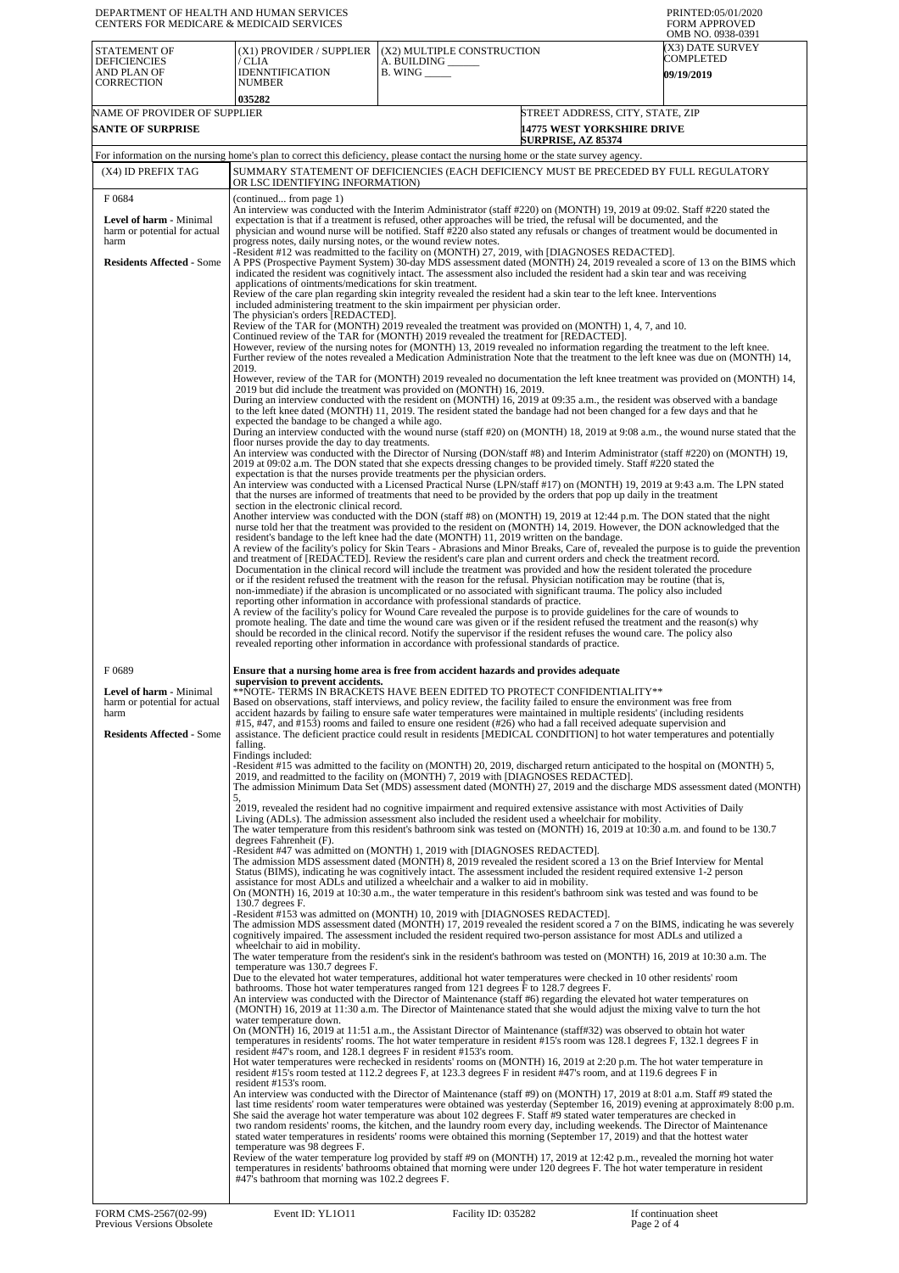| DEPARTMENT OF HEALTH AND HUMAN SERVICES<br>CENTERS FOR MEDICARE & MEDICAID SERVICES                                 |                                                                                                                                                                                                                                                                                                                                                                                                                                                                                                                                                                                                                                                                                                                                                                                                                                                                                                                                                                                                                                                                                                                       |                                                                                                                                                                                                                                                                                                                                                                                                                                                                                                                                                                                                                                                                                                                                                                                                                                                                                                                                                                                                                                                                                                                                                                                                                                                                                                                                                                                                                                                                                                                                                                                                                                                                                                                                                                                                                                                                                                                                                                                                                                                                                                                                                                                                                                                                                                                                                                                                                                                                                                                                                                                                                                                                                                                                                                                                                                                                                                                                                                                                                                                                                                                                                                                                                                                                                                                                                                                                                                                                                                                                                                                                                                                                                                                                                                                                                                                                                                                                                                                                                                                                                                                                                                                                                                                                                                                                                                                                                                                                                                                                                                                                                                                                                                                                                                                                                                                                                                                                                                                                                                                                                                                                                                                          | PRINTED:05/01/2020<br><b>FORM APPROVED</b><br>OMB NO. 0938-0391 |  |  |
|---------------------------------------------------------------------------------------------------------------------|-----------------------------------------------------------------------------------------------------------------------------------------------------------------------------------------------------------------------------------------------------------------------------------------------------------------------------------------------------------------------------------------------------------------------------------------------------------------------------------------------------------------------------------------------------------------------------------------------------------------------------------------------------------------------------------------------------------------------------------------------------------------------------------------------------------------------------------------------------------------------------------------------------------------------------------------------------------------------------------------------------------------------------------------------------------------------------------------------------------------------|------------------------------------------------------------------------------------------------------------------------------------------------------------------------------------------------------------------------------------------------------------------------------------------------------------------------------------------------------------------------------------------------------------------------------------------------------------------------------------------------------------------------------------------------------------------------------------------------------------------------------------------------------------------------------------------------------------------------------------------------------------------------------------------------------------------------------------------------------------------------------------------------------------------------------------------------------------------------------------------------------------------------------------------------------------------------------------------------------------------------------------------------------------------------------------------------------------------------------------------------------------------------------------------------------------------------------------------------------------------------------------------------------------------------------------------------------------------------------------------------------------------------------------------------------------------------------------------------------------------------------------------------------------------------------------------------------------------------------------------------------------------------------------------------------------------------------------------------------------------------------------------------------------------------------------------------------------------------------------------------------------------------------------------------------------------------------------------------------------------------------------------------------------------------------------------------------------------------------------------------------------------------------------------------------------------------------------------------------------------------------------------------------------------------------------------------------------------------------------------------------------------------------------------------------------------------------------------------------------------------------------------------------------------------------------------------------------------------------------------------------------------------------------------------------------------------------------------------------------------------------------------------------------------------------------------------------------------------------------------------------------------------------------------------------------------------------------------------------------------------------------------------------------------------------------------------------------------------------------------------------------------------------------------------------------------------------------------------------------------------------------------------------------------------------------------------------------------------------------------------------------------------------------------------------------------------------------------------------------------------------------------------------------------------------------------------------------------------------------------------------------------------------------------------------------------------------------------------------------------------------------------------------------------------------------------------------------------------------------------------------------------------------------------------------------------------------------------------------------------------------------------------------------------------------------------------------------------------------------------------------------------------------------------------------------------------------------------------------------------------------------------------------------------------------------------------------------------------------------------------------------------------------------------------------------------------------------------------------------------------------------------------------------------------------------------------------------------------------------------------------------------------------------------------------------------------------------------------------------------------------------------------------------------------------------------------------------------------------------------------------------------------------------------------------------------------------------------------------------------------------------------------------------------------------------------|-----------------------------------------------------------------|--|--|
| STATEMENT OF<br><b>DEFICIENCIES</b><br>AND PLAN OF<br><b>CORRECTION</b>                                             | (X1) PROVIDER / SUPPLIER<br>/ CLIA<br><b>IDENNTIFICATION</b><br><b>NUMBER</b><br>035282                                                                                                                                                                                                                                                                                                                                                                                                                                                                                                                                                                                                                                                                                                                                                                                                                                                                                                                                                                                                                               | (X2) MULTIPLE CONSTRUCTION<br>A. BUILDING<br>$B.$ WING $\_\_\_\_\_\$                                                                                                                                                                                                                                                                                                                                                                                                                                                                                                                                                                                                                                                                                                                                                                                                                                                                                                                                                                                                                                                                                                                                                                                                                                                                                                                                                                                                                                                                                                                                                                                                                                                                                                                                                                                                                                                                                                                                                                                                                                                                                                                                                                                                                                                                                                                                                                                                                                                                                                                                                                                                                                                                                                                                                                                                                                                                                                                                                                                                                                                                                                                                                                                                                                                                                                                                                                                                                                                                                                                                                                                                                                                                                                                                                                                                                                                                                                                                                                                                                                                                                                                                                                                                                                                                                                                                                                                                                                                                                                                                                                                                                                                                                                                                                                                                                                                                                                                                                                                                                                                                                                                     | (X3) DATE SURVEY<br>COMPLETED<br><b>09/19/2019</b>              |  |  |
| NAME OF PROVIDER OF SUPPLIER<br><b>SANTE OF SURPRISE</b>                                                            |                                                                                                                                                                                                                                                                                                                                                                                                                                                                                                                                                                                                                                                                                                                                                                                                                                                                                                                                                                                                                                                                                                                       | STREET ADDRESS, CITY, STATE, ZIP<br><b>14775 WEST YORKSHIRE DRIVE</b><br><b>SURPRISE, AZ 85374</b>                                                                                                                                                                                                                                                                                                                                                                                                                                                                                                                                                                                                                                                                                                                                                                                                                                                                                                                                                                                                                                                                                                                                                                                                                                                                                                                                                                                                                                                                                                                                                                                                                                                                                                                                                                                                                                                                                                                                                                                                                                                                                                                                                                                                                                                                                                                                                                                                                                                                                                                                                                                                                                                                                                                                                                                                                                                                                                                                                                                                                                                                                                                                                                                                                                                                                                                                                                                                                                                                                                                                                                                                                                                                                                                                                                                                                                                                                                                                                                                                                                                                                                                                                                                                                                                                                                                                                                                                                                                                                                                                                                                                                                                                                                                                                                                                                                                                                                                                                                                                                                                                                       |                                                                 |  |  |
|                                                                                                                     |                                                                                                                                                                                                                                                                                                                                                                                                                                                                                                                                                                                                                                                                                                                                                                                                                                                                                                                                                                                                                                                                                                                       | For information on the nursing home's plan to correct this deficiency, please contact the nursing home or the state survey agency.                                                                                                                                                                                                                                                                                                                                                                                                                                                                                                                                                                                                                                                                                                                                                                                                                                                                                                                                                                                                                                                                                                                                                                                                                                                                                                                                                                                                                                                                                                                                                                                                                                                                                                                                                                                                                                                                                                                                                                                                                                                                                                                                                                                                                                                                                                                                                                                                                                                                                                                                                                                                                                                                                                                                                                                                                                                                                                                                                                                                                                                                                                                                                                                                                                                                                                                                                                                                                                                                                                                                                                                                                                                                                                                                                                                                                                                                                                                                                                                                                                                                                                                                                                                                                                                                                                                                                                                                                                                                                                                                                                                                                                                                                                                                                                                                                                                                                                                                                                                                                                                       |                                                                 |  |  |
| (X4) ID PREFIX TAG                                                                                                  | OR LSC IDENTIFYING INFORMATION)                                                                                                                                                                                                                                                                                                                                                                                                                                                                                                                                                                                                                                                                                                                                                                                                                                                                                                                                                                                                                                                                                       | SUMMARY STATEMENT OF DEFICIENCIES (EACH DEFICIENCY MUST BE PRECEDED BY FULL REGULATORY                                                                                                                                                                                                                                                                                                                                                                                                                                                                                                                                                                                                                                                                                                                                                                                                                                                                                                                                                                                                                                                                                                                                                                                                                                                                                                                                                                                                                                                                                                                                                                                                                                                                                                                                                                                                                                                                                                                                                                                                                                                                                                                                                                                                                                                                                                                                                                                                                                                                                                                                                                                                                                                                                                                                                                                                                                                                                                                                                                                                                                                                                                                                                                                                                                                                                                                                                                                                                                                                                                                                                                                                                                                                                                                                                                                                                                                                                                                                                                                                                                                                                                                                                                                                                                                                                                                                                                                                                                                                                                                                                                                                                                                                                                                                                                                                                                                                                                                                                                                                                                                                                                   |                                                                 |  |  |
| F0684<br><b>Level of harm - Minimal</b><br>harm or potential for actual<br>harm<br><b>Residents Affected - Some</b> | (continued from page 1)<br>An interview was conducted with the Interim Administrator (staff #220) on (MONTH) 19, 2019 at 09:02. Staff #220 stated the<br>expectation is that if a treatment is refused, other approaches will be tried, the refusal will be documented, and the<br>physician and wound nurse will be notified. Staff #220 also stated any refusals or changes of treatment would be documented in<br>progress notes, daily nursing notes, or the wound review notes.<br>-Resident #12 was readmitted to the facility on (MONTH) 27, 2019, with [DIAGNOSES REDACTED].<br>A PPS (Prospective Payment System) 30-day MDS assessment dated (MONTH) 24, 2019 revealed a score of 13 on the BIMS which<br>indicated the resident was cognitively intact. The assessment also included the resident had a skin tear and was receiving<br>applications of ointments/medications for skin treatment.<br>Review of the care plan regarding skin integrity revealed the resident had a skin tear to the left knee. Interventions<br>included administering treatment to the skin impairment per physician order. |                                                                                                                                                                                                                                                                                                                                                                                                                                                                                                                                                                                                                                                                                                                                                                                                                                                                                                                                                                                                                                                                                                                                                                                                                                                                                                                                                                                                                                                                                                                                                                                                                                                                                                                                                                                                                                                                                                                                                                                                                                                                                                                                                                                                                                                                                                                                                                                                                                                                                                                                                                                                                                                                                                                                                                                                                                                                                                                                                                                                                                                                                                                                                                                                                                                                                                                                                                                                                                                                                                                                                                                                                                                                                                                                                                                                                                                                                                                                                                                                                                                                                                                                                                                                                                                                                                                                                                                                                                                                                                                                                                                                                                                                                                                                                                                                                                                                                                                                                                                                                                                                                                                                                                                          |                                                                 |  |  |
| F0689<br>Level of harm - Minimal<br>harm or potential for actual<br>harm<br><b>Residents Affected - Some</b>        | The physician's orders [REDACTED].<br>2019.<br>expected the bandage to be changed a while ago.<br>floor nurses provide the day to day treatments.<br>section in the electronic clinical record.<br>supervision to prevent accidents.<br>falling.<br>Findings included:<br>5.<br>degrees Fahrenheit (F).<br>$130.7$ degrees F.                                                                                                                                                                                                                                                                                                                                                                                                                                                                                                                                                                                                                                                                                                                                                                                         | Review of the TAR for (MONTH) 2019 revealed the treatment was provided on (MONTH) 1, 4, 7, and 10.<br>Continued review of the TAR for (MONTH) 2019 revealed the treatment for [REDACTED].<br>However, review of the nursing notes for (MONTH) 13, 2019 revealed no information regarding the treatment to the left knee.<br>Further review of the notes revealed a Medication Administration Note that the treatment to the left knee was due on (MONTH) 14,<br>However, review of the TAR for (MONTH) 2019 revealed no documentation the left knee treatment was provided on (MONTH) 14,<br>2019 but did include the treatment was provided on (MONTH) 16, 2019.<br>During an interview conducted with the resident on (MONTH) 16, 2019 at 09:35 a.m., the resident was observed with a bandage<br>to the left knee dated (MONTH) 11, 2019. The resident stated the bandage had not been changed for a few days and that he<br>During an interview conducted with the wound nurse (staff #20) on (MONTH) 18, 2019 at 9:08 a.m., the wound nurse stated that the<br>An interview was conducted with the Director of Nursing (DON/staff #8) and Interim Administrator (staff #220) on (MONTH) 19,<br>2019 at 09:02 a.m. The DON stated that she expects dressing changes to be provided timely. Staff #220 stated the<br>expectation is that the nurses provide treatments per the physician orders.<br>An interview was conducted with a Licensed Practical Nurse (LPN/staff #17) on (MONTH) 19, 2019 at 9:43 a.m. The LPN stated<br>that the nurses are informed of treatments that need to be provided by the orders that pop up daily in the treatment<br>Another interview was conducted with the DON (staff #8) on (MONTH) 19, 2019 at 12:44 p.m. The DON stated that the night<br>nurse told her that the treatment was provided to the resident on (MONTH) 14, 2019. However, the DON acknowledged that the<br>resident's bandage to the left knee had the date (MONTH) 11, 2019 written on the bandage.<br>A review of the facility's policy for Skin Tears - Abrasions and Minor Breaks, Care of, revealed the purpose is to guide the prevention<br>and treatment of [REDACTED]. Review the resident's care plan and current orders and check the treatment record.<br>Documentation in the clinical record will include the treatment was provided and how the resident tolerated the procedure<br>or if the resident refused the treatment with the reason for the refusal. Physician notification may be routine (that is,<br>non-immediate) if the abrasion is uncomplicated or no associated with significant trauma. The policy also included<br>reporting other information in accordance with professional standards of practice.<br>A review of the facility's policy for Wound Care revealed the purpose is to provide guidelines for the care of wounds to<br>promote healing. The date and time the wound care was given or if the resident refused the treatment and the reason(s) why<br>should be recorded in the clinical record. Notify the supervisor if the resident refuses the wound care. The policy also<br>revealed reporting other information in accordance with professional standards of practice.<br>Ensure that a nursing home area is free from accident hazards and provides adequate<br>**NOTE- TERMS IN BRACKETS HAVE BEEN EDITED TO PROTECT CONFIDENTIALITY**<br>Based on observations, staff interviews, and policy review, the facility failed to ensure the environment was free from<br>accident hazards by failing to ensure safe water temperatures were maintained in multiple residents' (including residents<br>#15, #47, and #153) rooms and failed to ensure one resident (#26) who had a fall received adequate supervision and<br>assistance. The deficient practice could result in residents [MEDICAL CONDITION] to hot water temperatures and potentially<br>-Resident #15 was admitted to the facility on (MONTH) 20, 2019, discharged return anticipated to the hospital on (MONTH) 5,<br>2019, and readmitted to the facility on (MONTH) 7, 2019 with [DIAGNOSES REDACTED].<br>The admission Minimum Data Set (MDS) assessment dated (MONTH) 27, 2019 and the discharge MDS assessment dated (MONTH)<br>2019, revealed the resident had no cognitive impairment and required extensive assistance with most Activities of Daily<br>Living (ADLs). The admission assessment also included the resident used a wheelchair for mobility.<br>The water temperature from this resident's bathroom sink was tested on (MONTH) 16, 2019 at 10:30 a.m. and found to be 130.7<br>-Resident #47 was admitted on (MONTH) 1, 2019 with [DIAGNOSES REDACTED].<br>The admission MDS assessment dated (MONTH) 8, 2019 revealed the resident scored a 13 on the Brief Interview for Mental<br>Status (BIMS), indicating he was cognitively intact. The assessment included the resident required extensive 1-2 person<br>assistance for most ADLs and utilized a wheelchair and a walker to aid in mobility.<br>On (MONTH) 16, 2019 at 10:30 a.m., the water temperature in this resident's bathroom sink was tested and was found to be |                                                                 |  |  |
|                                                                                                                     | wheelchair to aid in mobility.<br>temperature was 130.7 degrees F.<br>water temperature down.<br>resident #47's room, and 128.1 degrees F in resident #153's room.<br>resident #153's room.                                                                                                                                                                                                                                                                                                                                                                                                                                                                                                                                                                                                                                                                                                                                                                                                                                                                                                                           | -Resident #153 was admitted on (MONTH) 10, 2019 with [DIAGNOSES REDACTED].<br>The admission MDS assessment dated (MONTH) 17, 2019 revealed the resident scored a 7 on the BIMS, indicating he was severely<br>cognitively impaired. The assessment included the resident required two-person assistance for most ADLs and utilized a<br>The water temperature from the resident's sink in the resident's bathroom was tested on (MONTH) 16, 2019 at 10:30 a.m. The<br>Due to the elevated hot water temperatures, additional hot water temperatures were checked in 10 other residents' room<br>bathrooms. Those hot water temperatures ranged from 121 degrees F to 128.7 degrees F.<br>An interview was conducted with the Director of Maintenance (staff #6) regarding the elevated hot water temperatures on<br>(MONTH) 16, 2019 at 11:30 a.m. The Director of Maintenance stated that she would adjust the mixing valve to turn the hot<br>On (MONTH) 16, 2019 at 11:51 a.m., the Assistant Director of Maintenance (staff#32) was observed to obtain hot water<br>temperatures in residents' rooms. The hot water temperature in resident #15's room was 128.1 degrees F, 132.1 degrees F in<br>Hot water temperatures were rechecked in residents' rooms on (MONTH) 16, 2019 at 2:20 p.m. The hot water temperature in<br>resident #15's room tested at 112.2 degrees F, at 123.3 degrees F in resident #47's room, and at 119.6 degrees F in<br>An interview was conducted with the Director of Maintenance (staff #9) on (MONTH) 17, 2019 at 8:01 a.m. Staff #9 stated the<br>last time residents' room water temperatures were obtained was yesterday (September 16, 2019) evening at approximately 8:00 p.m.<br>She said the average hot water temperature was about 102 degrees F. Staff #9 stated water temperatures are checked in<br>two random residents' rooms, the kitchen, and the laundry room every day, including weekends. The Director of Maintenance<br>stated water temperatures in residents' rooms were obtained this morning (September 17, 2019) and that the hottest water                                                                                                                                                                                                                                                                                                                                                                                                                                                                                                                                                                                                                                                                                                                                                                                                                                                                                                                                                                                                                                                                                                                                                                                                                                                                                                                                                                                                                                                                                                                                                                                                                                                                                                                                                                                                                                                                                                                                                                                                                                                                                                                                                                                                                                                                                                                                                                                                                                                                                                                                                                                                                                                                                                                                                                                                                                                                                                                                                                                                                                                                                |                                                                 |  |  |
|                                                                                                                     | temperature was 98 degrees F.<br>#47's bathroom that morning was 102.2 degrees F.                                                                                                                                                                                                                                                                                                                                                                                                                                                                                                                                                                                                                                                                                                                                                                                                                                                                                                                                                                                                                                     | Review of the water temperature log provided by staff #9 on (MONTH) 17, 2019 at 12:42 p.m., revealed the morning hot water<br>temperatures in residents' bathrooms obtained that morning were under 120 degrees F. The hot water temperature in resident                                                                                                                                                                                                                                                                                                                                                                                                                                                                                                                                                                                                                                                                                                                                                                                                                                                                                                                                                                                                                                                                                                                                                                                                                                                                                                                                                                                                                                                                                                                                                                                                                                                                                                                                                                                                                                                                                                                                                                                                                                                                                                                                                                                                                                                                                                                                                                                                                                                                                                                                                                                                                                                                                                                                                                                                                                                                                                                                                                                                                                                                                                                                                                                                                                                                                                                                                                                                                                                                                                                                                                                                                                                                                                                                                                                                                                                                                                                                                                                                                                                                                                                                                                                                                                                                                                                                                                                                                                                                                                                                                                                                                                                                                                                                                                                                                                                                                                                                 |                                                                 |  |  |
|                                                                                                                     |                                                                                                                                                                                                                                                                                                                                                                                                                                                                                                                                                                                                                                                                                                                                                                                                                                                                                                                                                                                                                                                                                                                       |                                                                                                                                                                                                                                                                                                                                                                                                                                                                                                                                                                                                                                                                                                                                                                                                                                                                                                                                                                                                                                                                                                                                                                                                                                                                                                                                                                                                                                                                                                                                                                                                                                                                                                                                                                                                                                                                                                                                                                                                                                                                                                                                                                                                                                                                                                                                                                                                                                                                                                                                                                                                                                                                                                                                                                                                                                                                                                                                                                                                                                                                                                                                                                                                                                                                                                                                                                                                                                                                                                                                                                                                                                                                                                                                                                                                                                                                                                                                                                                                                                                                                                                                                                                                                                                                                                                                                                                                                                                                                                                                                                                                                                                                                                                                                                                                                                                                                                                                                                                                                                                                                                                                                                                          |                                                                 |  |  |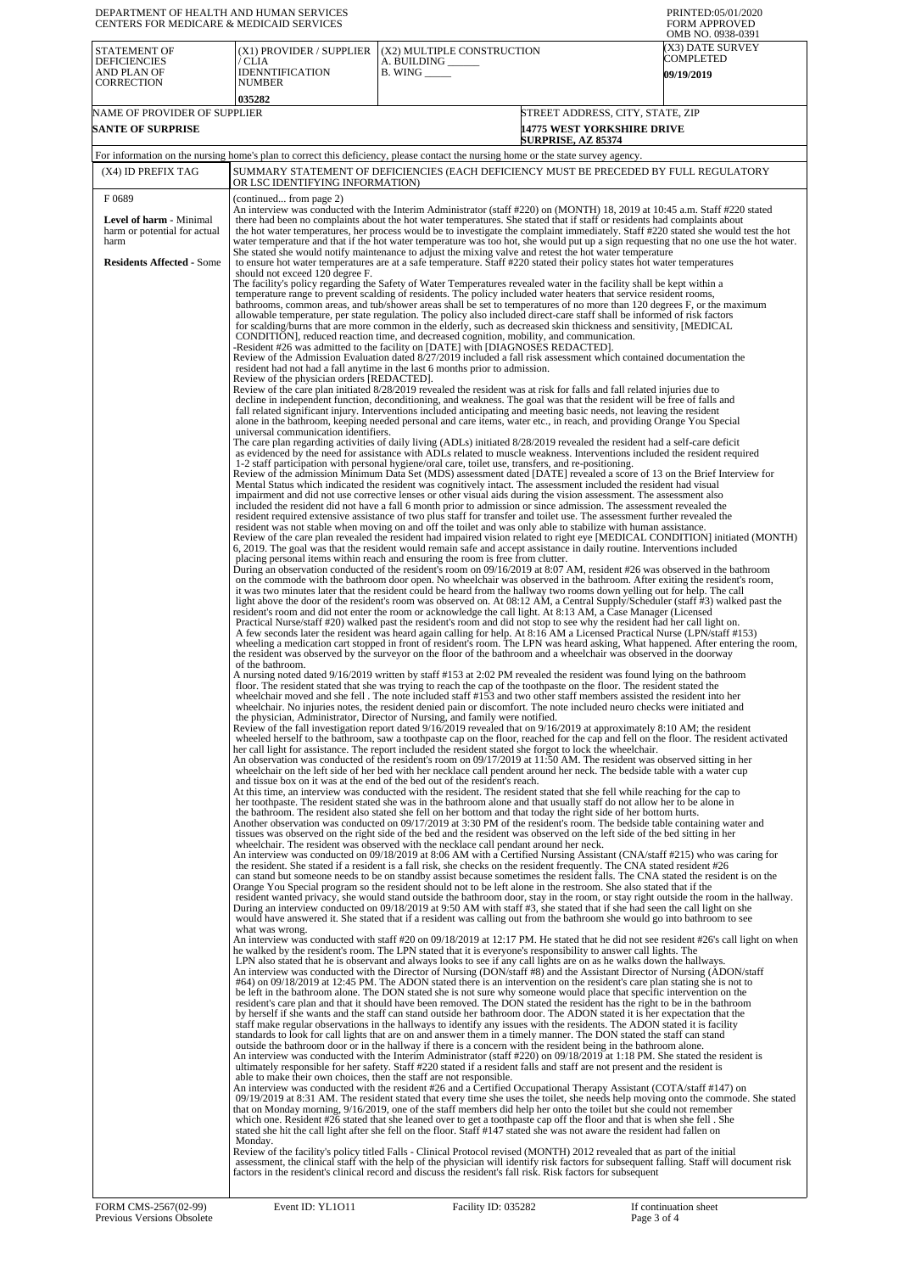| DEPARTMENT OF HEALTH AND HUMAN SERVICES<br><b>CENTERS FOR MEDICARE &amp; MEDICAID SERVICES</b>                                                                                                                                                                                                                                                                                                                                                                                                                                                                                                                                                      |                                                                               | PRINTED:05/01/2020<br><b>FORM APPROVED</b><br>OMB NO. 0938-0391                                                                                                                                                                                                                                                                                                                                                                                                                                                                                                                                                                                                                                                                                                                                                                                                                                                                                                                                                                                                                                                                                                                                                                                                                                                                                                                                                                                                                                                                                                                                                                                                                                                                                                                                                                                                                                                                                                                                                                                                                                                                                                                                                                                                                                                                                                                                                                                                                                                                                                                                                                                                                                                                                                                                                                                                                                                                                                                                                                                                                                                                                                                                                                                                                                                                                                                                                                                                                                                                                                                                                                                                                                                                                                                                                                                                                                                                                                                                                                                                                                                                                                                                                                                                                                                                                                                                                                                                                                                                                                                                                                                                                                                                                                                                                                                                                                                                                                                                                                                                                                                                                                                                                                                                                                                                                                                                                                                                                                                                                                                                                                                                                                                                                                                                                                                                                                                                                                                                                                                                                                                                                                                                                                                                                                                                                                                                                                                                                                                                                                                                                                                                                                                                                                                                                                                                                                                                                                                                                                                                                                                                                                                                                                                                                                                                                                                                                                                                                                                                                                                                                                                                                                                                                                                                                                                                                                                                                                                                                                                                                                                                                                                                                                                                                                                                                                                                                                                                                                                                                                                                                                                                                                                                                                                                                                                                                                                                                                                                                                                                                                                                                                                                                                                                                                                                                                                                                                                                                                                                                                                                                                                                                                                                                                                                                                                                                                                            |  |  |  |
|-----------------------------------------------------------------------------------------------------------------------------------------------------------------------------------------------------------------------------------------------------------------------------------------------------------------------------------------------------------------------------------------------------------------------------------------------------------------------------------------------------------------------------------------------------------------------------------------------------------------------------------------------------|-------------------------------------------------------------------------------|----------------------------------------------------------------------------------------------------------------------------------------------------------------------------------------------------------------------------------------------------------------------------------------------------------------------------------------------------------------------------------------------------------------------------------------------------------------------------------------------------------------------------------------------------------------------------------------------------------------------------------------------------------------------------------------------------------------------------------------------------------------------------------------------------------------------------------------------------------------------------------------------------------------------------------------------------------------------------------------------------------------------------------------------------------------------------------------------------------------------------------------------------------------------------------------------------------------------------------------------------------------------------------------------------------------------------------------------------------------------------------------------------------------------------------------------------------------------------------------------------------------------------------------------------------------------------------------------------------------------------------------------------------------------------------------------------------------------------------------------------------------------------------------------------------------------------------------------------------------------------------------------------------------------------------------------------------------------------------------------------------------------------------------------------------------------------------------------------------------------------------------------------------------------------------------------------------------------------------------------------------------------------------------------------------------------------------------------------------------------------------------------------------------------------------------------------------------------------------------------------------------------------------------------------------------------------------------------------------------------------------------------------------------------------------------------------------------------------------------------------------------------------------------------------------------------------------------------------------------------------------------------------------------------------------------------------------------------------------------------------------------------------------------------------------------------------------------------------------------------------------------------------------------------------------------------------------------------------------------------------------------------------------------------------------------------------------------------------------------------------------------------------------------------------------------------------------------------------------------------------------------------------------------------------------------------------------------------------------------------------------------------------------------------------------------------------------------------------------------------------------------------------------------------------------------------------------------------------------------------------------------------------------------------------------------------------------------------------------------------------------------------------------------------------------------------------------------------------------------------------------------------------------------------------------------------------------------------------------------------------------------------------------------------------------------------------------------------------------------------------------------------------------------------------------------------------------------------------------------------------------------------------------------------------------------------------------------------------------------------------------------------------------------------------------------------------------------------------------------------------------------------------------------------------------------------------------------------------------------------------------------------------------------------------------------------------------------------------------------------------------------------------------------------------------------------------------------------------------------------------------------------------------------------------------------------------------------------------------------------------------------------------------------------------------------------------------------------------------------------------------------------------------------------------------------------------------------------------------------------------------------------------------------------------------------------------------------------------------------------------------------------------------------------------------------------------------------------------------------------------------------------------------------------------------------------------------------------------------------------------------------------------------------------------------------------------------------------------------------------------------------------------------------------------------------------------------------------------------------------------------------------------------------------------------------------------------------------------------------------------------------------------------------------------------------------------------------------------------------------------------------------------------------------------------------------------------------------------------------------------------------------------------------------------------------------------------------------------------------------------------------------------------------------------------------------------------------------------------------------------------------------------------------------------------------------------------------------------------------------------------------------------------------------------------------------------------------------------------------------------------------------------------------------------------------------------------------------------------------------------------------------------------------------------------------------------------------------------------------------------------------------------------------------------------------------------------------------------------------------------------------------------------------------------------------------------------------------------------------------------------------------------------------------------------------------------------------------------------------------------------------------------------------------------------------------------------------------------------------------------------------------------------------------------------------------------------------------------------------------------------------------------------------------------------------------------------------------------------------------------------------------------------------------------------------------------------------------------------------------------------------------------------------------------------------------------------------------------------------------------------------------------------------------------------------------------------------------------------------------------------------------------------------------------------------------------------------------------------------------------------------------------------------------------------------------------------------------------------------------------------------------------------------------------------------------------------------------------------------------------------------------------------------------------------------------------------------------------------------------------------------------------------------------------------------------------------------------------------------------------------------------------------------------------------------------------------------------------------------------------------------------------------------------------------------------------------------------------------------------------------------------------------------------------------------------------------------------------------------------------------------------------------------------------------------------------------------------------------------------------------------------------------------------------------------------------------------------------------------------------------------------------------------------------------------------------------------------------------------------------------------------------------------------------------------------------------------------------------------------------------------------------------------------------|--|--|--|
| (X1) PROVIDER / SUPPLIER<br>/ CLIA<br><b>IDENNTIFICATION</b><br>NUMBER                                                                                                                                                                                                                                                                                                                                                                                                                                                                                                                                                                              | (X2) MULTIPLE CONSTRUCTION<br>A. BUILDING ______<br>$B.$ WING $\_\_\_\_\_\_\$ | (X3) DATE SURVEY<br>COMPLETED<br><b>09/19/2019</b>                                                                                                                                                                                                                                                                                                                                                                                                                                                                                                                                                                                                                                                                                                                                                                                                                                                                                                                                                                                                                                                                                                                                                                                                                                                                                                                                                                                                                                                                                                                                                                                                                                                                                                                                                                                                                                                                                                                                                                                                                                                                                                                                                                                                                                                                                                                                                                                                                                                                                                                                                                                                                                                                                                                                                                                                                                                                                                                                                                                                                                                                                                                                                                                                                                                                                                                                                                                                                                                                                                                                                                                                                                                                                                                                                                                                                                                                                                                                                                                                                                                                                                                                                                                                                                                                                                                                                                                                                                                                                                                                                                                                                                                                                                                                                                                                                                                                                                                                                                                                                                                                                                                                                                                                                                                                                                                                                                                                                                                                                                                                                                                                                                                                                                                                                                                                                                                                                                                                                                                                                                                                                                                                                                                                                                                                                                                                                                                                                                                                                                                                                                                                                                                                                                                                                                                                                                                                                                                                                                                                                                                                                                                                                                                                                                                                                                                                                                                                                                                                                                                                                                                                                                                                                                                                                                                                                                                                                                                                                                                                                                                                                                                                                                                                                                                                                                                                                                                                                                                                                                                                                                                                                                                                                                                                                                                                                                                                                                                                                                                                                                                                                                                                                                                                                                                                                                                                                                                                                                                                                                                                                                                                                                                                                                                                                                                                                                                                         |  |  |  |
| 035282                                                                                                                                                                                                                                                                                                                                                                                                                                                                                                                                                                                                                                              |                                                                               |                                                                                                                                                                                                                                                                                                                                                                                                                                                                                                                                                                                                                                                                                                                                                                                                                                                                                                                                                                                                                                                                                                                                                                                                                                                                                                                                                                                                                                                                                                                                                                                                                                                                                                                                                                                                                                                                                                                                                                                                                                                                                                                                                                                                                                                                                                                                                                                                                                                                                                                                                                                                                                                                                                                                                                                                                                                                                                                                                                                                                                                                                                                                                                                                                                                                                                                                                                                                                                                                                                                                                                                                                                                                                                                                                                                                                                                                                                                                                                                                                                                                                                                                                                                                                                                                                                                                                                                                                                                                                                                                                                                                                                                                                                                                                                                                                                                                                                                                                                                                                                                                                                                                                                                                                                                                                                                                                                                                                                                                                                                                                                                                                                                                                                                                                                                                                                                                                                                                                                                                                                                                                                                                                                                                                                                                                                                                                                                                                                                                                                                                                                                                                                                                                                                                                                                                                                                                                                                                                                                                                                                                                                                                                                                                                                                                                                                                                                                                                                                                                                                                                                                                                                                                                                                                                                                                                                                                                                                                                                                                                                                                                                                                                                                                                                                                                                                                                                                                                                                                                                                                                                                                                                                                                                                                                                                                                                                                                                                                                                                                                                                                                                                                                                                                                                                                                                                                                                                                                                                                                                                                                                                                                                                                                                                                                                                                                                                                                                                            |  |  |  |
| NAME OF PROVIDER OF SUPPLIER<br>STREET ADDRESS, CITY, STATE, ZIP<br><b>SANTE OF SURPRISE</b><br><b>14775 WEST YORKSHIRE DRIVE</b>                                                                                                                                                                                                                                                                                                                                                                                                                                                                                                                   |                                                                               |                                                                                                                                                                                                                                                                                                                                                                                                                                                                                                                                                                                                                                                                                                                                                                                                                                                                                                                                                                                                                                                                                                                                                                                                                                                                                                                                                                                                                                                                                                                                                                                                                                                                                                                                                                                                                                                                                                                                                                                                                                                                                                                                                                                                                                                                                                                                                                                                                                                                                                                                                                                                                                                                                                                                                                                                                                                                                                                                                                                                                                                                                                                                                                                                                                                                                                                                                                                                                                                                                                                                                                                                                                                                                                                                                                                                                                                                                                                                                                                                                                                                                                                                                                                                                                                                                                                                                                                                                                                                                                                                                                                                                                                                                                                                                                                                                                                                                                                                                                                                                                                                                                                                                                                                                                                                                                                                                                                                                                                                                                                                                                                                                                                                                                                                                                                                                                                                                                                                                                                                                                                                                                                                                                                                                                                                                                                                                                                                                                                                                                                                                                                                                                                                                                                                                                                                                                                                                                                                                                                                                                                                                                                                                                                                                                                                                                                                                                                                                                                                                                                                                                                                                                                                                                                                                                                                                                                                                                                                                                                                                                                                                                                                                                                                                                                                                                                                                                                                                                                                                                                                                                                                                                                                                                                                                                                                                                                                                                                                                                                                                                                                                                                                                                                                                                                                                                                                                                                                                                                                                                                                                                                                                                                                                                                                                                                                                                                                                                                            |  |  |  |
|                                                                                                                                                                                                                                                                                                                                                                                                                                                                                                                                                                                                                                                     | <b>SURPRISE, AZ 85374</b>                                                     |                                                                                                                                                                                                                                                                                                                                                                                                                                                                                                                                                                                                                                                                                                                                                                                                                                                                                                                                                                                                                                                                                                                                                                                                                                                                                                                                                                                                                                                                                                                                                                                                                                                                                                                                                                                                                                                                                                                                                                                                                                                                                                                                                                                                                                                                                                                                                                                                                                                                                                                                                                                                                                                                                                                                                                                                                                                                                                                                                                                                                                                                                                                                                                                                                                                                                                                                                                                                                                                                                                                                                                                                                                                                                                                                                                                                                                                                                                                                                                                                                                                                                                                                                                                                                                                                                                                                                                                                                                                                                                                                                                                                                                                                                                                                                                                                                                                                                                                                                                                                                                                                                                                                                                                                                                                                                                                                                                                                                                                                                                                                                                                                                                                                                                                                                                                                                                                                                                                                                                                                                                                                                                                                                                                                                                                                                                                                                                                                                                                                                                                                                                                                                                                                                                                                                                                                                                                                                                                                                                                                                                                                                                                                                                                                                                                                                                                                                                                                                                                                                                                                                                                                                                                                                                                                                                                                                                                                                                                                                                                                                                                                                                                                                                                                                                                                                                                                                                                                                                                                                                                                                                                                                                                                                                                                                                                                                                                                                                                                                                                                                                                                                                                                                                                                                                                                                                                                                                                                                                                                                                                                                                                                                                                                                                                                                                                                                                                                                                                            |  |  |  |
|                                                                                                                                                                                                                                                                                                                                                                                                                                                                                                                                                                                                                                                     |                                                                               |                                                                                                                                                                                                                                                                                                                                                                                                                                                                                                                                                                                                                                                                                                                                                                                                                                                                                                                                                                                                                                                                                                                                                                                                                                                                                                                                                                                                                                                                                                                                                                                                                                                                                                                                                                                                                                                                                                                                                                                                                                                                                                                                                                                                                                                                                                                                                                                                                                                                                                                                                                                                                                                                                                                                                                                                                                                                                                                                                                                                                                                                                                                                                                                                                                                                                                                                                                                                                                                                                                                                                                                                                                                                                                                                                                                                                                                                                                                                                                                                                                                                                                                                                                                                                                                                                                                                                                                                                                                                                                                                                                                                                                                                                                                                                                                                                                                                                                                                                                                                                                                                                                                                                                                                                                                                                                                                                                                                                                                                                                                                                                                                                                                                                                                                                                                                                                                                                                                                                                                                                                                                                                                                                                                                                                                                                                                                                                                                                                                                                                                                                                                                                                                                                                                                                                                                                                                                                                                                                                                                                                                                                                                                                                                                                                                                                                                                                                                                                                                                                                                                                                                                                                                                                                                                                                                                                                                                                                                                                                                                                                                                                                                                                                                                                                                                                                                                                                                                                                                                                                                                                                                                                                                                                                                                                                                                                                                                                                                                                                                                                                                                                                                                                                                                                                                                                                                                                                                                                                                                                                                                                                                                                                                                                                                                                                                                                                                                                                                            |  |  |  |
|                                                                                                                                                                                                                                                                                                                                                                                                                                                                                                                                                                                                                                                     |                                                                               |                                                                                                                                                                                                                                                                                                                                                                                                                                                                                                                                                                                                                                                                                                                                                                                                                                                                                                                                                                                                                                                                                                                                                                                                                                                                                                                                                                                                                                                                                                                                                                                                                                                                                                                                                                                                                                                                                                                                                                                                                                                                                                                                                                                                                                                                                                                                                                                                                                                                                                                                                                                                                                                                                                                                                                                                                                                                                                                                                                                                                                                                                                                                                                                                                                                                                                                                                                                                                                                                                                                                                                                                                                                                                                                                                                                                                                                                                                                                                                                                                                                                                                                                                                                                                                                                                                                                                                                                                                                                                                                                                                                                                                                                                                                                                                                                                                                                                                                                                                                                                                                                                                                                                                                                                                                                                                                                                                                                                                                                                                                                                                                                                                                                                                                                                                                                                                                                                                                                                                                                                                                                                                                                                                                                                                                                                                                                                                                                                                                                                                                                                                                                                                                                                                                                                                                                                                                                                                                                                                                                                                                                                                                                                                                                                                                                                                                                                                                                                                                                                                                                                                                                                                                                                                                                                                                                                                                                                                                                                                                                                                                                                                                                                                                                                                                                                                                                                                                                                                                                                                                                                                                                                                                                                                                                                                                                                                                                                                                                                                                                                                                                                                                                                                                                                                                                                                                                                                                                                                                                                                                                                                                                                                                                                                                                                                                                                                                                                                                            |  |  |  |
| (continued from page 2)                                                                                                                                                                                                                                                                                                                                                                                                                                                                                                                                                                                                                             |                                                                               |                                                                                                                                                                                                                                                                                                                                                                                                                                                                                                                                                                                                                                                                                                                                                                                                                                                                                                                                                                                                                                                                                                                                                                                                                                                                                                                                                                                                                                                                                                                                                                                                                                                                                                                                                                                                                                                                                                                                                                                                                                                                                                                                                                                                                                                                                                                                                                                                                                                                                                                                                                                                                                                                                                                                                                                                                                                                                                                                                                                                                                                                                                                                                                                                                                                                                                                                                                                                                                                                                                                                                                                                                                                                                                                                                                                                                                                                                                                                                                                                                                                                                                                                                                                                                                                                                                                                                                                                                                                                                                                                                                                                                                                                                                                                                                                                                                                                                                                                                                                                                                                                                                                                                                                                                                                                                                                                                                                                                                                                                                                                                                                                                                                                                                                                                                                                                                                                                                                                                                                                                                                                                                                                                                                                                                                                                                                                                                                                                                                                                                                                                                                                                                                                                                                                                                                                                                                                                                                                                                                                                                                                                                                                                                                                                                                                                                                                                                                                                                                                                                                                                                                                                                                                                                                                                                                                                                                                                                                                                                                                                                                                                                                                                                                                                                                                                                                                                                                                                                                                                                                                                                                                                                                                                                                                                                                                                                                                                                                                                                                                                                                                                                                                                                                                                                                                                                                                                                                                                                                                                                                                                                                                                                                                                                                                                                                                                                                                                                                            |  |  |  |
| An interview was conducted with the Interim Administrator (staff #220) on (MONTH) 18, 2019 at 10:45 a.m. Staff #220 stated<br>there had been no complaints about the hot water temperatures. She stated that if staff or residents had complaints about<br>the hot water temperatures, her process would be to investigate the complaint immediately. Staff #220 stated she would test the hot<br>water temperature and that if the hot water temperature was too hot, she would put up a sign requesting that no one use the hot water.<br>She stated she would notify maintenance to adjust the mixing valve and retest the hot water temperature |                                                                               |                                                                                                                                                                                                                                                                                                                                                                                                                                                                                                                                                                                                                                                                                                                                                                                                                                                                                                                                                                                                                                                                                                                                                                                                                                                                                                                                                                                                                                                                                                                                                                                                                                                                                                                                                                                                                                                                                                                                                                                                                                                                                                                                                                                                                                                                                                                                                                                                                                                                                                                                                                                                                                                                                                                                                                                                                                                                                                                                                                                                                                                                                                                                                                                                                                                                                                                                                                                                                                                                                                                                                                                                                                                                                                                                                                                                                                                                                                                                                                                                                                                                                                                                                                                                                                                                                                                                                                                                                                                                                                                                                                                                                                                                                                                                                                                                                                                                                                                                                                                                                                                                                                                                                                                                                                                                                                                                                                                                                                                                                                                                                                                                                                                                                                                                                                                                                                                                                                                                                                                                                                                                                                                                                                                                                                                                                                                                                                                                                                                                                                                                                                                                                                                                                                                                                                                                                                                                                                                                                                                                                                                                                                                                                                                                                                                                                                                                                                                                                                                                                                                                                                                                                                                                                                                                                                                                                                                                                                                                                                                                                                                                                                                                                                                                                                                                                                                                                                                                                                                                                                                                                                                                                                                                                                                                                                                                                                                                                                                                                                                                                                                                                                                                                                                                                                                                                                                                                                                                                                                                                                                                                                                                                                                                                                                                                                                                                                                                                                                            |  |  |  |
| should not exceed 120 degree F.                                                                                                                                                                                                                                                                                                                                                                                                                                                                                                                                                                                                                     |                                                                               |                                                                                                                                                                                                                                                                                                                                                                                                                                                                                                                                                                                                                                                                                                                                                                                                                                                                                                                                                                                                                                                                                                                                                                                                                                                                                                                                                                                                                                                                                                                                                                                                                                                                                                                                                                                                                                                                                                                                                                                                                                                                                                                                                                                                                                                                                                                                                                                                                                                                                                                                                                                                                                                                                                                                                                                                                                                                                                                                                                                                                                                                                                                                                                                                                                                                                                                                                                                                                                                                                                                                                                                                                                                                                                                                                                                                                                                                                                                                                                                                                                                                                                                                                                                                                                                                                                                                                                                                                                                                                                                                                                                                                                                                                                                                                                                                                                                                                                                                                                                                                                                                                                                                                                                                                                                                                                                                                                                                                                                                                                                                                                                                                                                                                                                                                                                                                                                                                                                                                                                                                                                                                                                                                                                                                                                                                                                                                                                                                                                                                                                                                                                                                                                                                                                                                                                                                                                                                                                                                                                                                                                                                                                                                                                                                                                                                                                                                                                                                                                                                                                                                                                                                                                                                                                                                                                                                                                                                                                                                                                                                                                                                                                                                                                                                                                                                                                                                                                                                                                                                                                                                                                                                                                                                                                                                                                                                                                                                                                                                                                                                                                                                                                                                                                                                                                                                                                                                                                                                                                                                                                                                                                                                                                                                                                                                                                                                                                                                                                            |  |  |  |
|                                                                                                                                                                                                                                                                                                                                                                                                                                                                                                                                                                                                                                                     |                                                                               |                                                                                                                                                                                                                                                                                                                                                                                                                                                                                                                                                                                                                                                                                                                                                                                                                                                                                                                                                                                                                                                                                                                                                                                                                                                                                                                                                                                                                                                                                                                                                                                                                                                                                                                                                                                                                                                                                                                                                                                                                                                                                                                                                                                                                                                                                                                                                                                                                                                                                                                                                                                                                                                                                                                                                                                                                                                                                                                                                                                                                                                                                                                                                                                                                                                                                                                                                                                                                                                                                                                                                                                                                                                                                                                                                                                                                                                                                                                                                                                                                                                                                                                                                                                                                                                                                                                                                                                                                                                                                                                                                                                                                                                                                                                                                                                                                                                                                                                                                                                                                                                                                                                                                                                                                                                                                                                                                                                                                                                                                                                                                                                                                                                                                                                                                                                                                                                                                                                                                                                                                                                                                                                                                                                                                                                                                                                                                                                                                                                                                                                                                                                                                                                                                                                                                                                                                                                                                                                                                                                                                                                                                                                                                                                                                                                                                                                                                                                                                                                                                                                                                                                                                                                                                                                                                                                                                                                                                                                                                                                                                                                                                                                                                                                                                                                                                                                                                                                                                                                                                                                                                                                                                                                                                                                                                                                                                                                                                                                                                                                                                                                                                                                                                                                                                                                                                                                                                                                                                                                                                                                                                                                                                                                                                                                                                                                                                                                                                                                            |  |  |  |
| Review of the care plan initiated 8/28/2019 revealed the resident was at risk for falls and fall related injuries due to<br>decline in independent function, deconditioning, and weakness. The goal was that the resident will be free of falls and<br>fall related significant injury. Interventions included anticipating and meeting basic needs, not leaving the resident<br>alone in the bathroom, keeping needed personal and care items, water etc., in reach, and providing Orange You Special                                                                                                                                              |                                                                               |                                                                                                                                                                                                                                                                                                                                                                                                                                                                                                                                                                                                                                                                                                                                                                                                                                                                                                                                                                                                                                                                                                                                                                                                                                                                                                                                                                                                                                                                                                                                                                                                                                                                                                                                                                                                                                                                                                                                                                                                                                                                                                                                                                                                                                                                                                                                                                                                                                                                                                                                                                                                                                                                                                                                                                                                                                                                                                                                                                                                                                                                                                                                                                                                                                                                                                                                                                                                                                                                                                                                                                                                                                                                                                                                                                                                                                                                                                                                                                                                                                                                                                                                                                                                                                                                                                                                                                                                                                                                                                                                                                                                                                                                                                                                                                                                                                                                                                                                                                                                                                                                                                                                                                                                                                                                                                                                                                                                                                                                                                                                                                                                                                                                                                                                                                                                                                                                                                                                                                                                                                                                                                                                                                                                                                                                                                                                                                                                                                                                                                                                                                                                                                                                                                                                                                                                                                                                                                                                                                                                                                                                                                                                                                                                                                                                                                                                                                                                                                                                                                                                                                                                                                                                                                                                                                                                                                                                                                                                                                                                                                                                                                                                                                                                                                                                                                                                                                                                                                                                                                                                                                                                                                                                                                                                                                                                                                                                                                                                                                                                                                                                                                                                                                                                                                                                                                                                                                                                                                                                                                                                                                                                                                                                                                                                                                                                                                                                                                                            |  |  |  |
| of the bathroom.                                                                                                                                                                                                                                                                                                                                                                                                                                                                                                                                                                                                                                    |                                                                               |                                                                                                                                                                                                                                                                                                                                                                                                                                                                                                                                                                                                                                                                                                                                                                                                                                                                                                                                                                                                                                                                                                                                                                                                                                                                                                                                                                                                                                                                                                                                                                                                                                                                                                                                                                                                                                                                                                                                                                                                                                                                                                                                                                                                                                                                                                                                                                                                                                                                                                                                                                                                                                                                                                                                                                                                                                                                                                                                                                                                                                                                                                                                                                                                                                                                                                                                                                                                                                                                                                                                                                                                                                                                                                                                                                                                                                                                                                                                                                                                                                                                                                                                                                                                                                                                                                                                                                                                                                                                                                                                                                                                                                                                                                                                                                                                                                                                                                                                                                                                                                                                                                                                                                                                                                                                                                                                                                                                                                                                                                                                                                                                                                                                                                                                                                                                                                                                                                                                                                                                                                                                                                                                                                                                                                                                                                                                                                                                                                                                                                                                                                                                                                                                                                                                                                                                                                                                                                                                                                                                                                                                                                                                                                                                                                                                                                                                                                                                                                                                                                                                                                                                                                                                                                                                                                                                                                                                                                                                                                                                                                                                                                                                                                                                                                                                                                                                                                                                                                                                                                                                                                                                                                                                                                                                                                                                                                                                                                                                                                                                                                                                                                                                                                                                                                                                                                                                                                                                                                                                                                                                                                                                                                                                                                                                                                                                                                                                                                                            |  |  |  |
| what was wrong.<br>Monday.                                                                                                                                                                                                                                                                                                                                                                                                                                                                                                                                                                                                                          |                                                                               |                                                                                                                                                                                                                                                                                                                                                                                                                                                                                                                                                                                                                                                                                                                                                                                                                                                                                                                                                                                                                                                                                                                                                                                                                                                                                                                                                                                                                                                                                                                                                                                                                                                                                                                                                                                                                                                                                                                                                                                                                                                                                                                                                                                                                                                                                                                                                                                                                                                                                                                                                                                                                                                                                                                                                                                                                                                                                                                                                                                                                                                                                                                                                                                                                                                                                                                                                                                                                                                                                                                                                                                                                                                                                                                                                                                                                                                                                                                                                                                                                                                                                                                                                                                                                                                                                                                                                                                                                                                                                                                                                                                                                                                                                                                                                                                                                                                                                                                                                                                                                                                                                                                                                                                                                                                                                                                                                                                                                                                                                                                                                                                                                                                                                                                                                                                                                                                                                                                                                                                                                                                                                                                                                                                                                                                                                                                                                                                                                                                                                                                                                                                                                                                                                                                                                                                                                                                                                                                                                                                                                                                                                                                                                                                                                                                                                                                                                                                                                                                                                                                                                                                                                                                                                                                                                                                                                                                                                                                                                                                                                                                                                                                                                                                                                                                                                                                                                                                                                                                                                                                                                                                                                                                                                                                                                                                                                                                                                                                                                                                                                                                                                                                                                                                                                                                                                                                                                                                                                                                                                                                                                                                                                                                                                                                                                                                                                                                                                                                            |  |  |  |
|                                                                                                                                                                                                                                                                                                                                                                                                                                                                                                                                                                                                                                                     |                                                                               | For information on the nursing home's plan to correct this deficiency, please contact the nursing home or the state survey agency.<br>SUMMARY STATEMENT OF DEFICIENCIES (EACH DEFICIENCY MUST BE PRECEDED BY FULL REGULATORY<br>OR LSC IDENTIFYING INFORMATION)<br>to ensure hot water temperatures are at a safe temperature. Staff #220 stated their policy states hot water temperatures<br>The facility's policy regarding the Safety of Water Temperatures revealed water in the facility shall be kept within a<br>temperature range to prevent scalding of residents. The policy included water heaters that service resident rooms,<br>bathrooms, common areas, and tub/shower areas shall be set to temperatures of no more than 120 degrees F, or the maximum<br>allowable temperature, per state regulation. The policy also included direct-care staff shall be informed of risk factors<br>for scalding/burns that are more common in the elderly, such as decreased skin thickness and sensitivity, [MEDICAL<br>CONDITION], reduced reaction time, and decreased cognition, mobility, and communication.<br>-Resident #26 was admitted to the facility on [DATE] with [DIAGNOSES REDACTED].<br>Review of the Admission Evaluation dated 8/27/2019 included a fall risk assessment which contained documentation the<br>resident had not had a fall anytime in the last 6 months prior to admission.<br>Review of the physician orders [REDACTED].<br>universal communication identifiers.<br>The care plan regarding activities of daily living (ADLs) initiated 8/28/2019 revealed the resident had a self-care deficit<br>as evidenced by the need for assistance with ADLs related to muscle weakness. Interventions included the resident required<br>1-2 staff participation with personal hygiene/oral care, toilet use, transfers, and re-positioning.<br>Review of the admission Minimum Data Set (MDS) assessment dated [DATE] revealed a score of 13 on the Brief Interview for<br>Mental Status which indicated the resident was cognitively intact. The assessment included the resident had visual<br>impairment and did not use corrective lenses or other visual aids during the vision assessment. The assessment also<br>included the resident did not have a fall 6 month prior to admission or since admission. The assessment revealed the<br>resident required extensive assistance of two plus staff for transfer and toilet use. The assessment further revealed the<br>resident was not stable when moving on and off the toilet and was only able to stabilize with human assistance.<br>Review of the care plan revealed the resident had impaired vision related to right eye [MEDICAL CONDITION] initiated (MONTH)<br>6, 2019. The goal was that the resident would remain safe and accept assistance in daily routine. Interventions included<br>placing personal items within reach and ensuring the room is free from clutter.<br>During an observation conducted of the resident's room on 09/16/2019 at 8:07 AM, resident #26 was observed in the bathroom<br>on the commode with the bathroom door open. No wheelchair was observed in the bathroom. After exiting the resident's room,<br>it was two minutes later that the resident could be heard from the hallway two rooms down yelling out for help. The call<br>light above the door of the resident's room was observed on. At 08:12 AM, a Central Supply/Scheduler (staff #3) walked past the<br>resident's room and did not enter the room or acknowledge the call light. At 8:13 AM, a Case Manager (Licensed<br>Practical Nurse/staff #20) walked past the resident's room and did not stop to see why the resident had her call light on.<br>A few seconds later the resident was heard again calling for help. At 8:16 AM a Licensed Practical Nurse (LPN/staff #153)<br>wheeling a medication cart stopped in front of resident's room. The LPN was heard asking, What happened. After entering the room,<br>the resident was observed by the surveyor on the floor of the bathroom and a wheelchair was observed in the doorway<br>A nursing noted dated 9/16/2019 written by staff #153 at 2:02 PM revealed the resident was found lying on the bathroom<br>floor. The resident stated that she was trying to reach the cap of the toothpaste on the floor. The resident stated the<br>wheelchair moved and she fell. The note included staff #153 and two other staff members assisted the resident into her<br>wheelchair. No injuries notes, the resident denied pain or discomfort. The note included neuro checks were initiated and<br>the physician, Administrator, Director of Nursing, and family were notified.<br>Review of the fall investigation report dated 9/16/2019 revealed that on 9/16/2019 at approximately 8:10 AM; the resident<br>wheeled herself to the bathroom, saw a toothpaste cap on the floor, reached for the cap and fell on the floor. The resident activated<br>her call light for assistance. The report included the resident stated she forgot to lock the wheelchair.<br>An observation was conducted of the resident's room on 09/17/2019 at 11:50 AM. The resident was observed sitting in her<br>wheelchair on the left side of her bed with her necklace call pendent around her neck. The bedside table with a water cup<br>and tissue box on it was at the end of the bed out of the resident's reach.<br>At this time, an interview was conducted with the resident. The resident stated that she fell while reaching for the cap to<br>her toothpaste. The resident stated she was in the bathroom alone and that usually staff do not allow her to be alone in<br>the bathroom. The resident also stated she fell on her bottom and that today the right side of her bottom hurts.<br>Another observation was conducted on 09/17/2019 at 3:30 PM of the resident's room. The bedside table containing water and<br>tissues was observed on the right side of the bed and the resident was observed on the left side of the bed sitting in her<br>wheelchair. The resident was observed with the necklace call pendant around her neck.<br>An interview was conducted on 09/18/2019 at 8:06 AM with a Certified Nursing Assistant (CNA/staff #215) who was caring for<br>the resident. She stated if a resident is a fall risk, she checks on the resident frequently. The CNA stated resident #26<br>can stand but someone needs to be on standby assist because sometimes the resident falls. The CNA stated the resident is on the<br>Orange You Special program so the resident should not to be left alone in the restroom. She also stated that if the<br>resident wanted privacy, she would stand outside the bathroom door, stay in the room, or stay right outside the room in the hallway.<br>During an interview conducted on 09/18/2019 at 9:50 AM with staff #3, she stated that if she had seen the call light on she<br>would have answered it. She stated that if a resident was calling out from the bathroom she would go into bathroom to see<br>An interview was conducted with staff #20 on 09/18/2019 at 12:17 PM. He stated that he did not see resident #26's call light on when<br>he walked by the resident's room. The LPN stated that it is everyone's responsibility to answer call lights. The<br>LPN also stated that he is observant and always looks to see if any call lights are on as he walks down the hallways.<br>An interview was conducted with the Director of Nursing (DON/staff #8) and the Assistant Director of Nursing (ADON/staff<br>#64) on 09/18/2019 at 12:45 PM. The ADON stated there is an intervention on the resident's care plan stating she is not to<br>be left in the bathroom alone. The DON stated she is not sure why someone would place that specific intervention on the<br>resident's care plan and that it should have been removed. The DON stated the resident has the right to be in the bathroom<br>by herself if she wants and the staff can stand outside her bathroom door. The ADON stated it is her expectation that the<br>staff make regular observations in the hallways to identify any issues with the residents. The ADON stated it is facility<br>standards to look for call lights that are on and answer them in a timely manner. The DON stated the staff can stand<br>outside the bathroom door or in the hallway if there is a concern with the resident being in the bathroom alone.<br>An interview was conducted with the Interim Administrator (staff #220) on 09/18/2019 at 1:18 PM. She stated the resident is<br>ultimately responsible for her safety. Staff #220 stated if a resident falls and staff are not present and the resident is<br>able to make their own choices, then the staff are not responsible.<br>An interview was conducted with the resident #26 and a Certified Occupational Therapy Assistant (COTA/staff #147) on<br>09/19/2019 at 8:31 AM. The resident stated that every time she uses the toilet, she needs help moving onto the commode. She stated<br>that on Monday morning, 9/16/2019, one of the staff members did help her onto the toilet but she could not remember<br>which one. Resident #26 stated that she leaned over to get a toothpaste cap off the floor and that is when she fell. She<br>stated she hit the call light after she fell on the floor. Staff #147 stated she was not aware the resident had fallen on<br>Review of the facility's policy titled Falls - Clinical Protocol revised (MONTH) 2012 revealed that as part of the initial<br>assessment, the clinical staff with the help of the physician will identify risk factors for subsequent falling. Staff will document risk<br>factors in the resident's clinical record and discuss the resident's fall risk. Risk factors for subsequent |  |  |  |